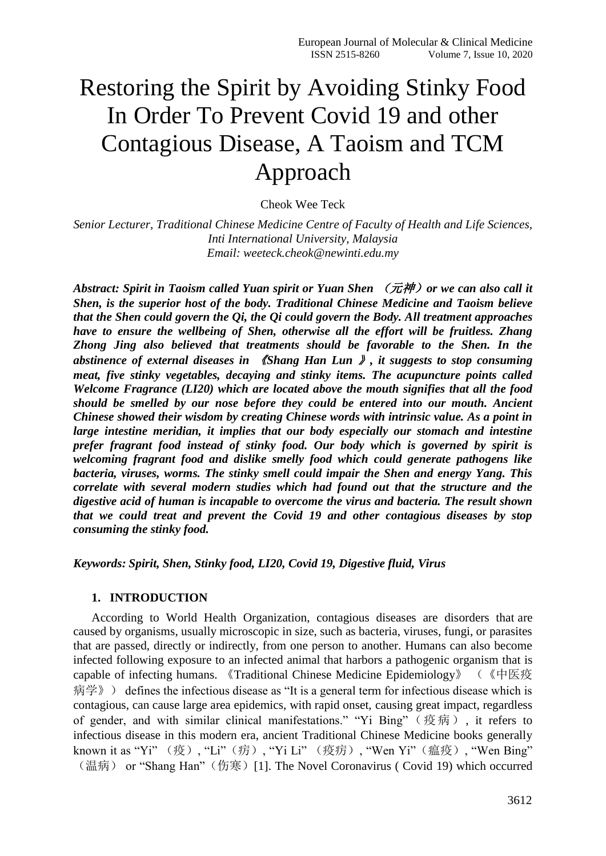# Restoring the Spirit by Avoiding Stinky Food In Order To Prevent Covid 19 and other Contagious Disease, A Taoism and TCM Approach

Cheok Wee Teck

*Senior Lecturer, Traditional Chinese Medicine Centre of Faculty of Health and Life Sciences, Inti International University, Malaysia Email: weeteck.cheok@newinti.edu.my*

*Abstract: Spirit in Taoism called Yuan spirit or Yuan Shen* (元神)*or we can also call it Shen, is the superior host of the body. Traditional Chinese Medicine and Taoism believe that the Shen could govern the Qi, the Qi could govern the Body. All treatment approaches have to ensure the wellbeing of Shen, otherwise all the effort will be fruitless. Zhang Zhong Jing also believed that treatments should be favorable to the Shen. In the abstinence of external diseases in* 《*Shang Han Lun* 》*, it suggests to stop consuming meat, five stinky vegetables, decaying and stinky items. The acupuncture points called Welcome Fragrance (LI20) which are located above the mouth signifies that all the food should be smelled by our nose before they could be entered into our mouth. Ancient Chinese showed their wisdom by creating Chinese words with intrinsic value. As a point in large intestine meridian, it implies that our body especially our stomach and intestine prefer fragrant food instead of stinky food. Our body which is governed by spirit is welcoming fragrant food and dislike smelly food which could generate pathogens like bacteria, viruses, worms. The stinky smell could impair the Shen and energy Yang. This correlate with several modern studies which had found out that the structure and the digestive acid of human is incapable to overcome the virus and bacteria. The result shown that we could treat and prevent the Covid 19 and other contagious diseases by stop consuming the stinky food.*

*Keywords: Spirit, Shen, Stinky food, LI20, Covid 19, Digestive fluid, Virus*

## **1. INTRODUCTION**

According to World Health Organization, contagious diseases are disorders that are caused by organisms, usually microscopic in size, such as bacteria, viruses, fungi, or parasites that are passed, directly or indirectly, from one person to another. Humans can also become infected following exposure to an infected animal that harbors a pathogenic organism that is capable of infecting humans. 《Traditional Chinese Medicine Epidemiology》 (《中医疫 病学》) defines the infectious disease as "It is a general term for infectious disease which is contagious, can cause large area epidemics, with rapid onset, causing great impact, regardless of gender, and with similar clinical manifestations." "Yi Bing" (疫病), it refers to infectious disease in this modern era, ancient Traditional Chinese Medicine books generally known it as "Yi" (疫), "Li"(病), "Yi Li" (疫疠), "Wen Yi" (瘟疫), "Wen Bing" (温病) or "Shang Han" (伤寒) [1]. The Novel Coronavirus ( Covid 19) which occurred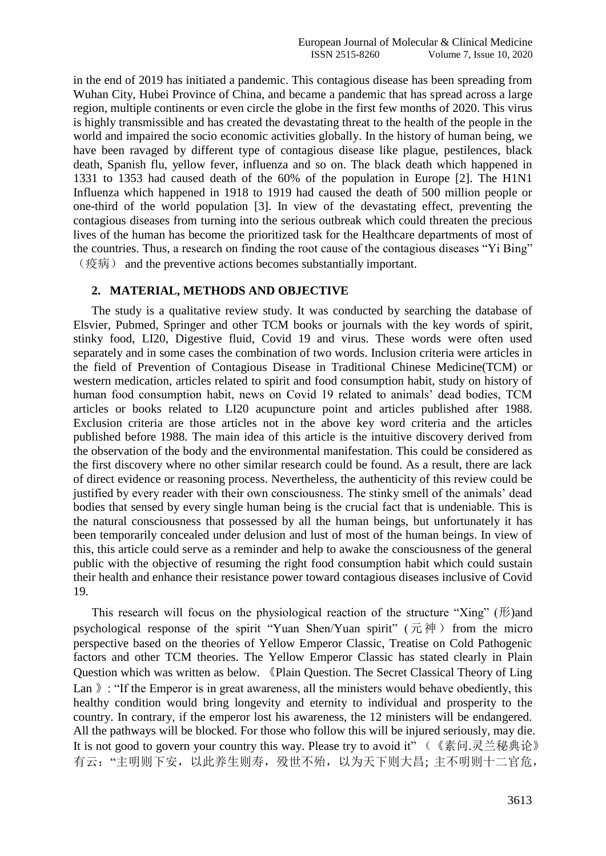in the end of 2019 has initiated a pandemic. This contagious disease has been spreading from Wuhan City, Hubei Province of China, and became a pandemic that has spread across a large region, multiple continents or even circle the globe in the first few months of 2020. This virus is highly transmissible and has created the devastating threat to the health of the people in the world and impaired the socio economic activities globally. In the history of human being, we have been ravaged by different type of contagious disease like plague, pestilences, black death, Spanish flu, yellow fever, influenza and so on. The black death which happened in 1331 to 1353 had caused death of the 60% of the population in Europe [2]. The H1N1 Influenza which happened in 1918 to 1919 had caused the death of 500 million people or one-third of the world population [3]. In view of the devastating effect, preventing the contagious diseases from turning into the serious outbreak which could threaten the precious lives of the human has become the prioritized task for the Healthcare departments of most of the countries. Thus, a research on finding the root cause of the contagious diseases "Yi Bing" (疫病) and the preventive actions becomes substantially important.

## **2. MATERIAL, METHODS AND OBJECTIVE**

The study is a qualitative review study. It was conducted by searching the database of Elsvier, Pubmed, Springer and other TCM books or journals with the key words of spirit, stinky food, LI20, Digestive fluid, Covid 19 and virus. These words were often used separately and in some cases the combination of two words. Inclusion criteria were articles in the field of Prevention of Contagious Disease in Traditional Chinese Medicine(TCM) or western medication, articles related to spirit and food consumption habit, study on history of human food consumption habit, news on Covid 19 related to animals' dead bodies, TCM articles or books related to LI20 acupuncture point and articles published after 1988. Exclusion criteria are those articles not in the above key word criteria and the articles published before 1988. The main idea of this article is the intuitive discovery derived from the observation of the body and the environmental manifestation. This could be considered as the first discovery where no other similar research could be found. As a result, there are lack of direct evidence or reasoning process. Nevertheless, the authenticity of this review could be justified by every reader with their own consciousness. The stinky smell of the animals' dead bodies that sensed by every single human being is the crucial fact that is undeniable. This is the natural consciousness that possessed by all the human beings, but unfortunately it has been temporarily concealed under delusion and lust of most of the human beings. In view of this, this article could serve as a reminder and help to awake the consciousness of the general public with the objective of resuming the right food consumption habit which could sustain their health and enhance their resistance power toward contagious diseases inclusive of Covid 19.

This research will focus on the physiological reaction of the structure "Xing" ( $#$ )and psychological response of the spirit "Yuan Shen/Yuan spirit" ( $\vec{\pi}$ ) from the micro perspective based on the theories of Yellow Emperor Classic, Treatise on Cold Pathogenic factors and other TCM theories. The Yellow Emperor Classic has stated clearly in Plain Question which was written as below. 《Plain Question. The Secret Classical Theory of Ling Lan  $\mathcal Y$  : "If the Emperor is in great awareness, all the ministers would behave obediently, this healthy condition would bring longevity and eternity to individual and prosperity to the country. In contrary, if the emperor lost his awareness, the 12 ministers will be endangered. All the pathways will be blocked. For those who follow this will be injured seriously, may die. It is not good to govern your country this way. Please try to avoid it" (《素问.灵兰秘典论》 有云:"主明则下安,以此养生则寿,殁世不殆,以为天下则大昌; 主不明则十二官危,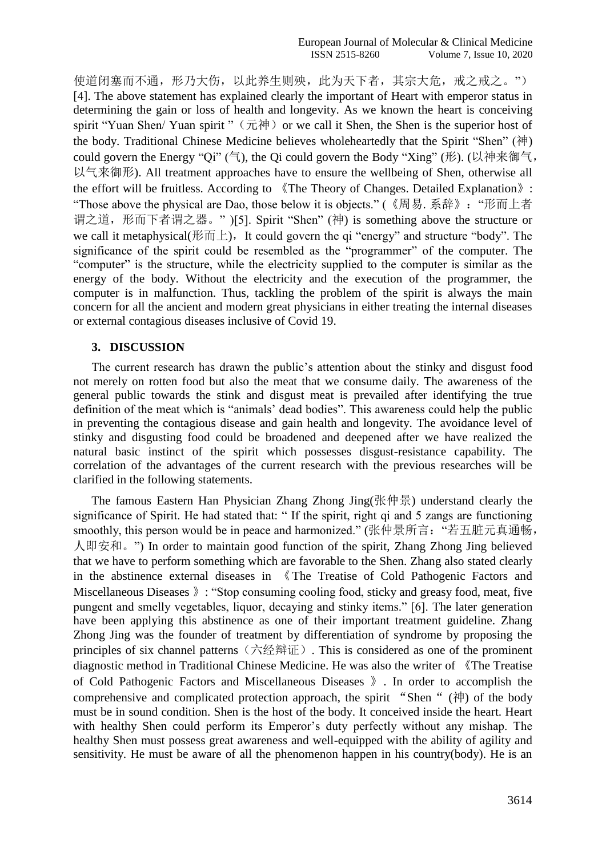使道闭塞而不通,形乃大伤,以此养生则殃,此为天下者,其宗大危,戒之戒之。") [4]. The above statement has explained clearly the important of Heart with emperor status in determining the gain or loss of health and longevity. As we known the heart is conceiving spirit "Yuan Shen/ Yuan spirit " (元神) or we call it Shen, the Shen is the superior host of the body. Traditional Chinese Medicine believes wholeheartedly that the Spirit "Shen" (神) could govern the Energy "Qi" (气), the Qi could govern the Body "Xing" (形). (以神来御气, 以气来御形). All treatment approaches have to ensure the wellbeing of Shen, otherwise all the effort will be fruitless. According to 《The Theory of Changes. Detailed Explanation》: "Those above the physical are Dao, those below it is objects." (《周易. 系辞》:"形而上者 谓之道,形而下者谓之器。" )[5]. Spirit "Shen" (神) is something above the structure or we call it metaphysical( $\cancel{m}\overline{m}$ ), It could govern the qi "energy" and structure "body". The significance of the spirit could be resembled as the "programmer" of the computer. The "computer" is the structure, while the electricity supplied to the computer is similar as the energy of the body. Without the electricity and the execution of the programmer, the computer is in malfunction. Thus, tackling the problem of the spirit is always the main concern for all the ancient and modern great physicians in either treating the internal diseases or external contagious diseases inclusive of Covid 19.

#### **3. DISCUSSION**

The current research has drawn the public's attention about the stinky and disgust food not merely on rotten food but also the meat that we consume daily. The awareness of the general public towards the stink and disgust meat is prevailed after identifying the true definition of the meat which is "animals' dead bodies". This awareness could help the public in preventing the contagious disease and gain health and longevity. The avoidance level of stinky and disgusting food could be broadened and deepened after we have realized the natural basic instinct of the spirit which possesses disgust-resistance capability. The correlation of the advantages of the current research with the previous researches will be clarified in the following statements.

The famous Eastern Han Physician Zhang Zhong Jing(张仲景) understand clearly the significance of Spirit. He had stated that: " If the spirit, right qi and 5 zangs are functioning smoothly, this person would be in peace and harmonized." (张仲景所言: "若五脏元真通畅, 人即安和。") In order to maintain good function of the spirit, Zhang Zhong Jing believed that we have to perform something which are favorable to the Shen. Zhang also stated clearly in the abstinence external diseases in 《The Treatise of Cold Pathogenic Factors and Miscellaneous Diseases 》: "Stop consuming cooling food, sticky and greasy food, meat, five pungent and smelly vegetables, liquor, decaying and stinky items." [6]. The later generation have been applying this abstinence as one of their important treatment guideline. Zhang Zhong Jing was the founder of treatment by differentiation of syndrome by proposing the principles of six channel patterns (六经辩证). This is considered as one of the prominent diagnostic method in Traditional Chinese Medicine. He was also the writer of 《The Treatise of Cold Pathogenic Factors and Miscellaneous Diseases 》. In order to accomplish the comprehensive and complicated protection approach, the spirit "Shen" (神) of the body must be in sound condition. Shen is the host of the body. It conceived inside the heart. Heart with healthy Shen could perform its Emperor's duty perfectly without any mishap. The healthy Shen must possess great awareness and well-equipped with the ability of agility and sensitivity. He must be aware of all the phenomenon happen in his country(body). He is an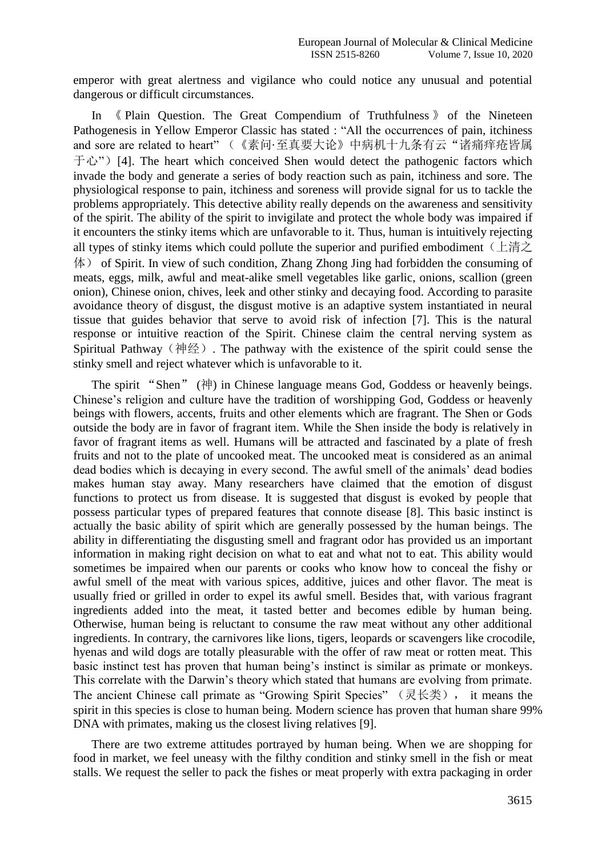emperor with great alertness and vigilance who could notice any unusual and potential dangerous or difficult circumstances.

In 《 Plain Question. The Great Compendium of Truthfulness 》 of the Nineteen Pathogenesis in Yellow Emperor Classic has stated : "All the occurrences of pain, itchiness and sore are related to heart" (《素问·至真要大论》中病机十九条有云"诸痛痒疮皆属  $\pm$   $\hat{\psi}$ ") [4]. The heart which conceived Shen would detect the pathogenic factors which invade the body and generate a series of body reaction such as pain, itchiness and sore. The physiological response to pain, itchiness and soreness will provide signal for us to tackle the problems appropriately. This detective ability really depends on the awareness and sensitivity of the spirit. The ability of the spirit to invigilate and protect the whole body was impaired if it encounters the stinky items which are unfavorable to it. Thus, human is intuitively rejecting all types of stinky items which could pollute the superior and purified embodiment (上清之 体) of Spirit. In view of such condition, Zhang Zhong Jing had forbidden the consuming of meats, eggs, milk, awful and meat-alike smell vegetables like garlic, onions, scallion (green onion), Chinese onion, chives, leek and other stinky and decaying food. According to parasite avoidance theory of disgust, the disgust motive is an adaptive system instantiated in neural tissue that guides behavior that serve to avoid risk of infection [7]. This is the natural response or intuitive reaction of the Spirit. Chinese claim the central nerving system as Spiritual Pathway (神经). The pathway with the existence of the spirit could sense the stinky smell and reject whatever which is unfavorable to it.

The spirit "Shen" (神) in Chinese language means God, Goddess or heavenly beings. Chinese's religion and culture have the tradition of worshipping God, Goddess or heavenly beings with flowers, accents, fruits and other elements which are fragrant. The Shen or Gods outside the body are in favor of fragrant item. While the Shen inside the body is relatively in favor of fragrant items as well. Humans will be attracted and fascinated by a plate of fresh fruits and not to the plate of uncooked meat. The uncooked meat is considered as an animal dead bodies which is decaying in every second. The awful smell of the animals' dead bodies makes human stay away. Many researchers have claimed that the emotion of disgust functions to protect us from disease. It is suggested that disgust is evoked by people that possess particular types of prepared features that connote disease [8]. This basic instinct is actually the basic ability of spirit which are generally possessed by the human beings. The ability in differentiating the disgusting smell and fragrant odor has provided us an important information in making right decision on what to eat and what not to eat. This ability would sometimes be impaired when our parents or cooks who know how to conceal the fishy or awful smell of the meat with various spices, additive, juices and other flavor. The meat is usually fried or grilled in order to expel its awful smell. Besides that, with various fragrant ingredients added into the meat, it tasted better and becomes edible by human being. Otherwise, human being is reluctant to consume the raw meat without any other additional ingredients. In contrary, the carnivores like lions, tigers, leopards or scavengers like crocodile, hyenas and wild dogs are totally pleasurable with the offer of raw meat or rotten meat. This basic instinct test has proven that human being's instinct is similar as primate or monkeys. This correlate with the Darwin's theory which stated that humans are evolving from primate. The ancient Chinese call primate as "Growing Spirit Species" (灵长类), it means the spirit in this species is close to human being. Modern science has proven that human share 99% DNA with primates, making us the closest living relatives [9].

There are two extreme attitudes portrayed by human being. When we are shopping for food in market, we feel uneasy with the filthy condition and stinky smell in the fish or meat stalls. We request the seller to pack the fishes or meat properly with extra packaging in order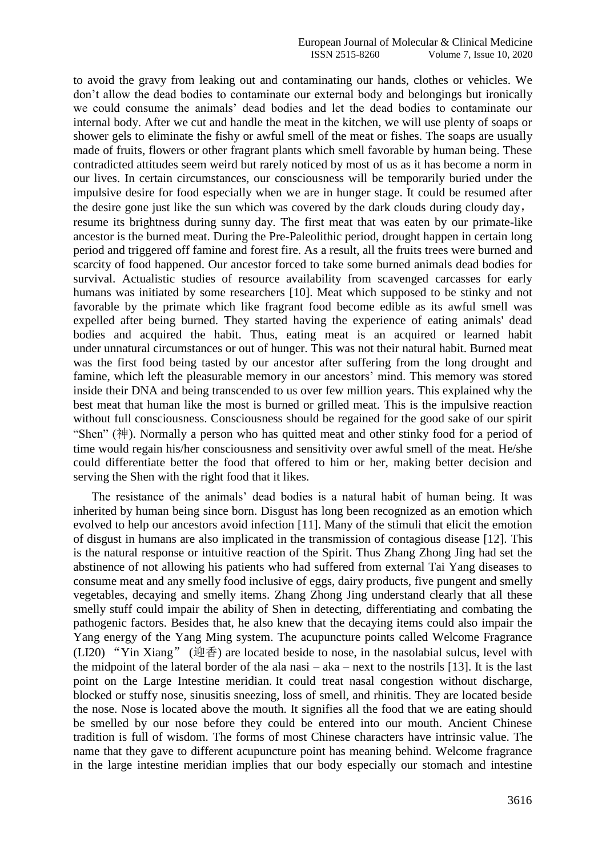to avoid the gravy from leaking out and contaminating our hands, clothes or vehicles. We don't allow the dead bodies to contaminate our external body and belongings but ironically we could consume the animals' dead bodies and let the dead bodies to contaminate our internal body. After we cut and handle the meat in the kitchen, we will use plenty of soaps or shower gels to eliminate the fishy or awful smell of the meat or fishes. The soaps are usually made of fruits, flowers or other fragrant plants which smell favorable by human being. These contradicted attitudes seem weird but rarely noticed by most of us as it has become a norm in our lives. In certain circumstances, our consciousness will be temporarily buried under the impulsive desire for food especially when we are in hunger stage. It could be resumed after the desire gone just like the sun which was covered by the dark clouds during cloudy day, resume its brightness during sunny day. The first meat that was eaten by our primate-like ancestor is the burned meat. During the Pre-Paleolithic period, drought happen in certain long period and triggered off famine and forest fire. As a result, all the fruits trees were burned and scarcity of food happened. Our ancestor forced to take some burned animals dead bodies for survival. Actualistic studies of resource availability from scavenged carcasses for early humans was initiated by some researchers [10]. Meat which supposed to be stinky and not favorable by the primate which like fragrant food become edible as its awful smell was expelled after being burned. They started having the experience of eating animals' dead bodies and acquired the habit. Thus, eating meat is an acquired or learned habit under unnatural circumstances or out of hunger. This was not their natural habit. Burned meat was the first food being tasted by our ancestor after suffering from the long drought and famine, which left the pleasurable memory in our ancestors' mind. This memory was stored inside their DNA and being transcended to us over few million years. This explained why the best meat that human like the most is burned or grilled meat. This is the impulsive reaction without full consciousness. Consciousness should be regained for the good sake of our spirit "Shen" (神). Normally a person who has quitted meat and other stinky food for a period of time would regain his/her consciousness and sensitivity over awful smell of the meat. He/she could differentiate better the food that offered to him or her, making better decision and serving the Shen with the right food that it likes.

The resistance of the animals' dead bodies is a natural habit of human being. It was inherited by human being since born. Disgust has long been recognized as an emotion which evolved to help our ancestors avoid infection [11]. Many of the stimuli that elicit the emotion of disgust in humans are also implicated in the transmission of contagious disease [12]. This is the natural response or intuitive reaction of the Spirit. Thus Zhang Zhong Jing had set the abstinence of not allowing his patients who had suffered from external Tai Yang diseases to consume meat and any smelly food inclusive of eggs, dairy products, five pungent and smelly vegetables, decaying and smelly items. Zhang Zhong Jing understand clearly that all these smelly stuff could impair the ability of Shen in detecting, differentiating and combating the pathogenic factors. Besides that, he also knew that the decaying items could also impair the Yang energy of the Yang Ming system. The acupuncture points called Welcome Fragrance (LI20) "Yin Xiang" (迎香) are located beside to nose, in the nasolabial sulcus, level with the midpoint of the lateral border of the ala nasi – aka – next to the nostrils [13]. It is the last point on the Large Intestine meridian. It could treat nasal congestion without discharge, blocked or stuffy nose, sinusitis sneezing, loss of smell, and rhinitis. They are located beside the nose. Nose is located above the mouth. It signifies all the food that we are eating should be smelled by our nose before they could be entered into our mouth. Ancient Chinese tradition is full of wisdom. The forms of most Chinese characters have intrinsic value. The name that they gave to different acupuncture point has meaning behind. Welcome fragrance in the large intestine meridian implies that our body especially our stomach and intestine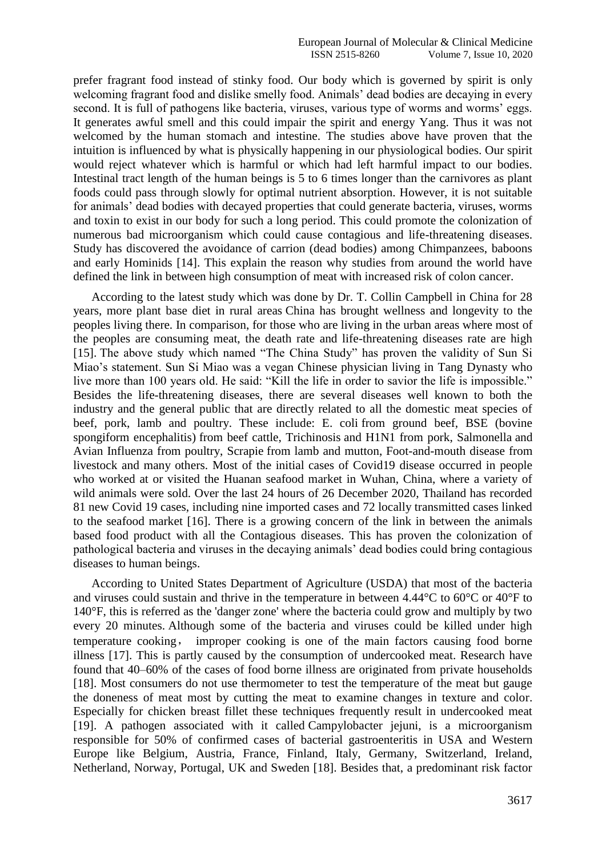prefer fragrant food instead of stinky food. Our body which is governed by spirit is only welcoming fragrant food and dislike smelly food. Animals' dead bodies are decaying in every second. It is full of pathogens like bacteria, viruses, various type of worms and worms' eggs. It generates awful smell and this could impair the spirit and energy Yang. Thus it was not welcomed by the human stomach and intestine. The studies above have proven that the intuition is influenced by what is physically happening in our physiological bodies. Our spirit would reject whatever which is harmful or which had left harmful impact to our bodies. Intestinal tract length of the human beings is 5 to 6 times longer than the carnivores as plant foods could pass through slowly for optimal nutrient absorption. However, it is not suitable for animals' dead bodies with decayed properties that could generate bacteria, viruses, worms and toxin to exist in our body for such a long period. This could promote the colonization of numerous bad microorganism which could cause contagious and life-threatening diseases. Study has discovered the avoidance of carrion (dead bodies) among Chimpanzees, baboons and early Hominids [14]. This explain the reason why studies from around the world have defined the link in between high consumption of meat with increased risk of colon cancer.

According to the latest study which was done by Dr. T. Collin Campbell in China for 28 years, more plant base diet in rural areas China has brought wellness and longevity to the peoples living there. In comparison, for those who are living in the urban areas where most of the peoples are consuming meat, the death rate and life-threatening diseases rate are high [15]. The above study which named "The China Study" has proven the validity of Sun Si Miao's statement. Sun Si Miao was a vegan Chinese physician living in Tang Dynasty who live more than 100 years old. He said: "Kill the life in order to savior the life is impossible." Besides the life-threatening diseases, there are several diseases well known to both the industry and the general public that are directly related to all the domestic meat species of beef, pork, lamb and poultry. These include: E. coli from ground beef, BSE (bovine spongiform encephalitis) from beef cattle, Trichinosis and H1N1 from pork, Salmonella and Avian Influenza from poultry, Scrapie from lamb and mutton, Foot-and-mouth disease from livestock and many others. Most of the initial cases of Covid19 disease occurred in people who worked at or visited the Huanan seafood market in Wuhan, China, where a variety of wild animals were sold. Over the last 24 hours of 26 December 2020, Thailand has recorded 81 new Covid 19 cases, including nine imported cases and 72 locally transmitted cases linked to the seafood market [16]. There is a growing concern of the link in between the animals based food product with all the Contagious diseases. This has proven the colonization of pathological bacteria and viruses in the decaying animals' dead bodies could bring contagious diseases to human beings.

According to United States Department of Agriculture (USDA) that most of the bacteria and viruses could sustain and thrive in the temperature in between 4.44°C to 60°C or 40°F to 140°F, this is referred as the 'danger zone' where the bacteria could grow and multiply by two every 20 minutes. Although some of the bacteria and viruses could be killed under high temperature cooking, improper cooking is one of the main factors causing food borne illness [17]. This is partly caused by the consumption of undercooked meat. Research have found that 40–60% of the cases of food borne illness are originated from private households [18]. Most consumers do not use thermometer to test the temperature of the meat but gauge the doneness of meat most by cutting the meat to examine changes in texture and color. Especially for chicken breast fillet these techniques frequently result in undercooked meat [19]. A pathogen associated with it called Campylobacter jejuni, is a microorganism responsible for 50% of confirmed cases of bacterial gastroenteritis in USA and Western Europe like Belgium, Austria, France, Finland, Italy, Germany, Switzerland, Ireland, Netherland, Norway, Portugal, UK and Sweden [18]. Besides that, a predominant risk factor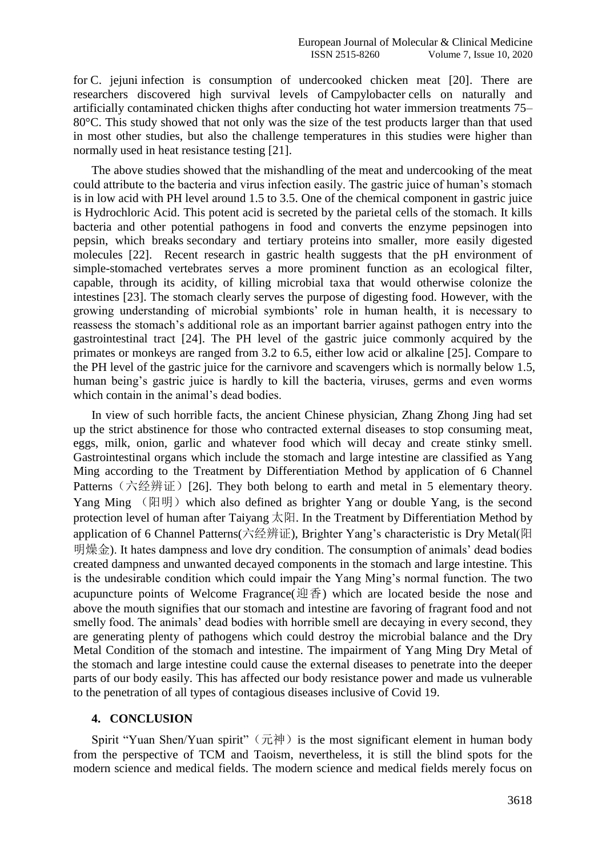for C. jejuni infection is consumption of undercooked chicken meat [20]. There are researchers discovered high survival levels of Campylobacter cells on naturally and artificially contaminated chicken thighs after conducting hot water immersion treatments 75– 80°C. This study showed that not only was the size of the test products larger than that used in most other studies, but also the challenge temperatures in this studies were higher than normally used in heat resistance testing [21].

The above studies showed that the mishandling of the meat and undercooking of the meat could attribute to the bacteria and virus infection easily. The gastric juice of human's stomach is in low acid with PH level around 1.5 to 3.5. One of the chemical component in gastric juice is Hydrochloric Acid. This potent acid is secreted by the parietal cells of the stomach. It kills bacteria and other potential pathogens in food and converts the enzyme pepsinogen into pepsin, which breaks secondary and tertiary proteins into smaller, more easily digested molecules [22]. Recent research in gastric health suggests that the pH environment of simple-stomached vertebrates serves a more prominent function as an ecological filter, capable, through its acidity, of killing microbial taxa that would otherwise colonize the intestines [23]. The stomach clearly serves the purpose of digesting food. However, with the growing understanding of microbial symbionts' role in human health, it is necessary to reassess the stomach's additional role as an important barrier against pathogen entry into the gastrointestinal tract [24]. The PH level of the gastric juice commonly acquired by the primates or monkeys are ranged from 3.2 to 6.5, either low acid or alkaline [25]. Compare to the PH level of the gastric juice for the carnivore and scavengers which is normally below 1.5, human being's gastric juice is hardly to kill the bacteria, viruses, germs and even worms which contain in the animal's dead bodies.

In view of such horrible facts, the ancient Chinese physician, Zhang Zhong Jing had set up the strict abstinence for those who contracted external diseases to stop consuming meat, eggs, milk, onion, garlic and whatever food which will decay and create stinky smell. Gastrointestinal organs which include the stomach and large intestine are classified as Yang Ming according to the Treatment by Differentiation Method by application of 6 Channel Patterns (六经辨证) [26]. They both belong to earth and metal in 5 elementary theory. Yang Ming (阳明) which also defined as brighter Yang or double Yang, is the second protection level of human after Taiyang  $\overline{\mathcal{K}}$  = In the Treatment by Differentiation Method by application of 6 Channel Patterns(六经辨证), Brighter Yang's characteristic is Dry Metal(阳 明燥金). It hates dampness and love dry condition. The consumption of animals' dead bodies created dampness and unwanted decayed components in the stomach and large intestine. This is the undesirable condition which could impair the Yang Ming's normal function. The two acupuncture points of Welcome Fragrance(迎香) which are located beside the nose and above the mouth signifies that our stomach and intestine are favoring of fragrant food and not smelly food. The animals' dead bodies with horrible smell are decaying in every second, they are generating plenty of pathogens which could destroy the microbial balance and the Dry Metal Condition of the stomach and intestine. The impairment of Yang Ming Dry Metal of the stomach and large intestine could cause the external diseases to penetrate into the deeper parts of our body easily. This has affected our body resistance power and made us vulnerable to the penetration of all types of contagious diseases inclusive of Covid 19.

### **4. CONCLUSION**

Spirit "Yuan Shen/Yuan spirit"  $(\vec{\pi}$ 神) is the most significant element in human body from the perspective of TCM and Taoism, nevertheless, it is still the blind spots for the modern science and medical fields. The modern science and medical fields merely focus on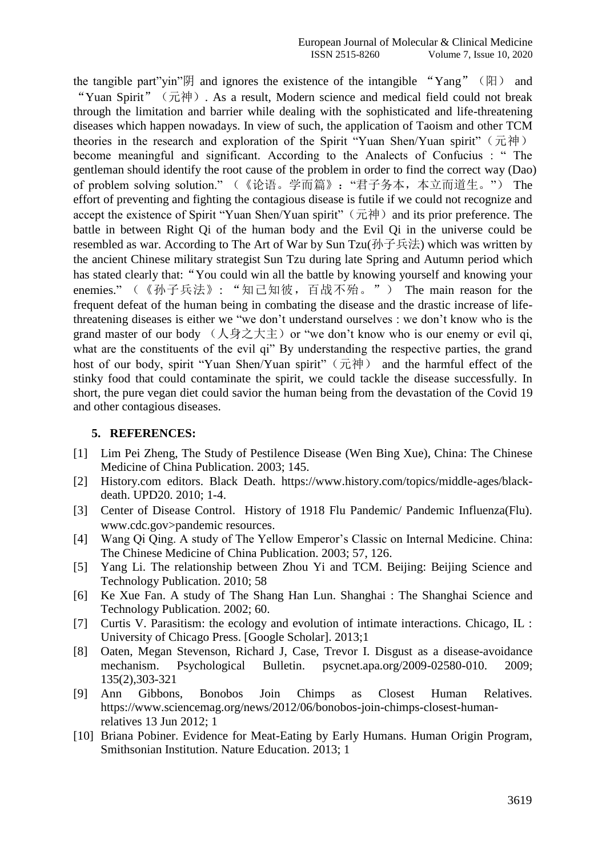the tangible part"yin"阴 and ignores the existence of the intangible "Yang" (阳) and "Yuan Spirit"  $(\vec{\pi}$  $\ddot{\pi})$ . As a result, Modern science and medical field could not break through the limitation and barrier while dealing with the sophisticated and life-threatening diseases which happen nowadays. In view of such, the application of Taoism and other TCM theories in the research and exploration of the Spirit "Yuan Shen/Yuan spirit" (元神) become meaningful and significant. According to the Analects of Confucius : " The gentleman should identify the root cause of the problem in order to find the correct way (Dao) of problem solving solution." (《论语。学而篇》:"君子务本,本立而道生。") The effort of preventing and fighting the contagious disease is futile if we could not recognize and accept the existence of Spirit "Yuan Shen/Yuan spirit" (元神) and its prior preference. The battle in between Right Qi of the human body and the Evil Qi in the universe could be resembled as war. According to The Art of War by Sun Tzu(孙子兵法) which was written by the ancient Chinese military strategist Sun Tzu during late Spring and Autumn period which has stated clearly that:"You could win all the battle by knowing yourself and knowing your enemies." (《孙子兵法》: "知己知彼, 百战不殆。") The main reason for the frequent defeat of the human being in combating the disease and the drastic increase of lifethreatening diseases is either we "we don't understand ourselves : we don't know who is the grand master of our body  $($   $\lambda$   $\frac{1}{2}$   $\pm$   $\frac{1}{2}$  or "we don't know who is our enemy or evil qi, what are the constituents of the evil qi" By understanding the respective parties, the grand host of our body, spirit "Yuan Shen/Yuan spirit" (元神) and the harmful effect of the stinky food that could contaminate the spirit, we could tackle the disease successfully. In short, the pure vegan diet could savior the human being from the devastation of the Covid 19 and other contagious diseases.

# **5. REFERENCES:**

- [1] Lim Pei Zheng, The Study of Pestilence Disease (Wen Bing Xue), China: The Chinese Medicine of China Publication. 2003; 145.
- [2] History.com editors. Black Death. https://www.history.com/topics/middle-ages/blackdeath. UPD20. 2010; 1-4.
- [3] Center of Disease Control. History of 1918 Flu Pandemic/ Pandemic Influenza (Flu). www.cdc.gov>pandemic resources.
- [4] Wang Qi Qing. A study of The Yellow Emperor's Classic on Internal Medicine. China: The Chinese Medicine of China Publication. 2003; 57, 126.
- [5] Yang Li. The relationship between Zhou Yi and TCM. Beijing: Beijing Science and Technology Publication. 2010; 58
- [6] Ke Xue Fan. A study of The Shang Han Lun. Shanghai : The Shanghai Science and Technology Publication. 2002; 60.
- [7] Curtis V. Parasitism: the ecology and evolution of intimate interactions. Chicago, IL : University of Chicago Press. [\[Google Scholar\]](https://scholar.google.com/scholar_lookup?journal=Scand+J+Gastroenterol+Suppl&title=Infective+gastroenteritis+and+its+relationship+to+reduced+gastric+acidity&author=GC+Cook&volume=111&publication_year=1985&pages=17-23&pmid=3925541&). 2013;1
- [8] Oaten, Megan Stevenson, Richard J, Case, Trevor I. Disgust as a disease-avoidance mechanism. Psychological Bulletin. psycnet.apa.org/2009-02580-010. 2009; 135(2),303-321
- [9] [Ann Gibbons,](https://www.sciencemag.org/author/ann-gibbons) Bonobos Join Chimps as Closest Human Relatives. https://www.sciencemag.org/news/2012/06/bonobos-join-chimps-closest-humanrelatives 13 Jun 2012; 1
- [10] Briana Pobiner. Evidence for Meat-Eating by Early Humans. Human Origin Program, Smithsonian Institution. Nature Education. 2013; 1